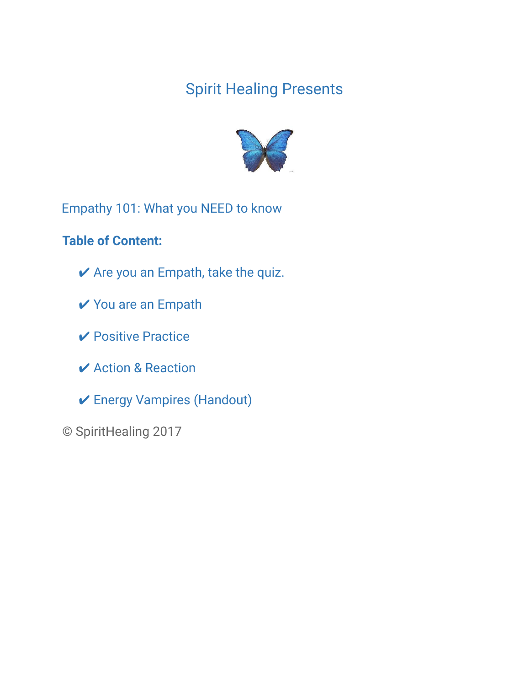# Spirit Healing Presents



Empathy 101: What you NEED to know

## **Table of Content:**

- $\vee$  Are you an Empath, take the quiz.
- ✔ You are an Empath
- ✔ Positive Practice
- **✓ Action & Reaction**
- ✔ Energy Vampires (Handout)
- © SpiritHealing 2017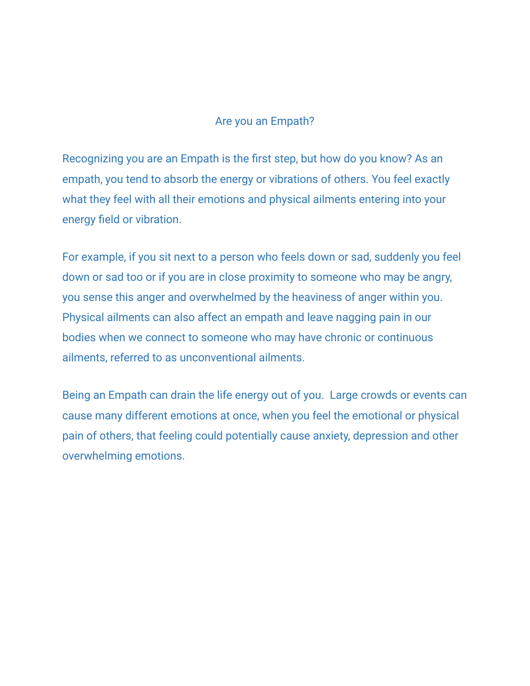## Are you an Empath?

Recognizing you are an Empath is the first step, but how do you know? As an empath, you tend to absorb the energy or vibrations of others. You feel exactly what they feel with all their emotions and physical ailments entering into your energy field or vibration.

For example, if you sit next to a person who feels down or sad, suddenly you feel down or sad too or if you are in close proximity to someone who may be angry, you sense this anger and overwhelmed by the heaviness of anger within you. Physical ailments can also affect an empath and leave nagging pain in our bodies when we connect to someone who may have chronic or continuous ailments, referred to as unconventional ailments.

Being an Empath can drain the life energy out of you. Large crowds or events can cause many different emotions at once, when you feel the emotional or physical pain of others, that feeling could potentially cause anxiety, depression and other overwhelming emotions.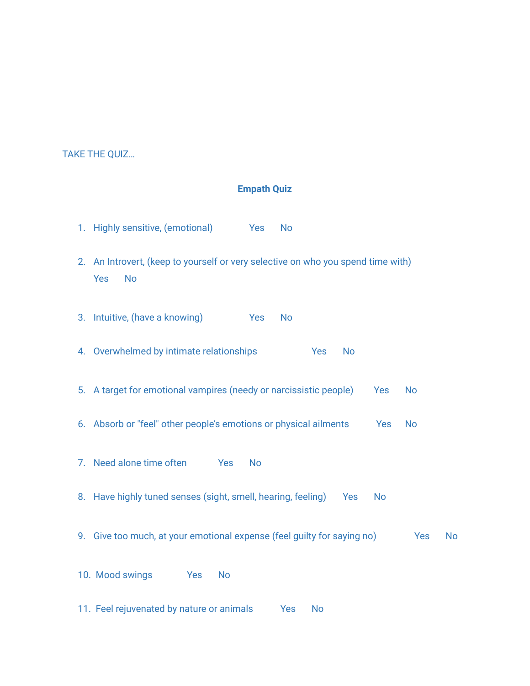TAKE THE QUIZ…

#### **Empath Quiz**

- 1. Highly sensitive, (emotional) Yes No 2. An Introvert, (keep to yourself or very selective on who you spend time with) Yes No 3. Intuitive, (have a knowing) Yes No 4. Overwhelmed by intimate relationships Yes No 5. A target for emotional vampires (needy or narcissistic people) Yes No 6. Absorb or "feel" other people's emotions or physical ailments Yes No 7. Need alone time often Yes No 8. Have highly tuned senses (sight, smell, hearing, feeling) Yes No 9. Give too much, at your emotional expense (feel guilty for saying no) Yes No 10. Mood swings Yes No
- 11. Feel rejuvenated by nature or animals Yes No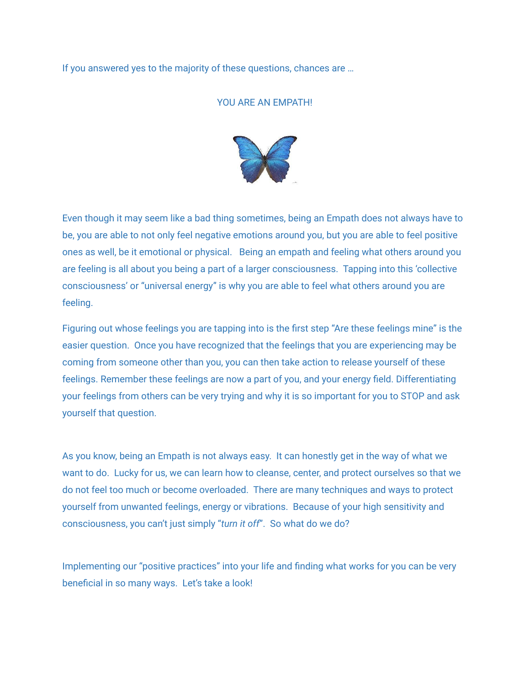If you answered yes to the majority of these questions, chances are …

#### YOU ARE AN EMPATH!



Even though it may seem like a bad thing sometimes, being an Empath does not always have to be, you are able to not only feel negative emotions around you, but you are able to feel positive ones as well, be it emotional or physical. Being an empath and feeling what others around you are feeling is all about you being a part of a larger consciousness. Tapping into this 'collective consciousness' or "universal energy" is why you are able to feel what others around you are feeling.

Figuring out whose feelings you are tapping into is the first step "Are these feelings mine" is the easier question. Once you have recognized that the feelings that you are experiencing may be coming from someone other than you, you can then take action to release yourself of these feelings. Remember these feelings are now a part of you, and your energy field. Differentiating your feelings from others can be very trying and why it is so important for you to STOP and ask yourself that question.

As you know, being an Empath is not always easy. It can honestly get in the way of what we want to do. Lucky for us, we can learn how to cleanse, center, and protect ourselves so that we do not feel too much or become overloaded. There are many techniques and ways to protect yourself from unwanted feelings, energy or vibrations. Because of your high sensitivity and consciousness, you can't just simply "*turn it off*". So what do we do?

Implementing our "positive practices" into your life and finding what works for you can be very beneficial in so many ways. Let's take a look!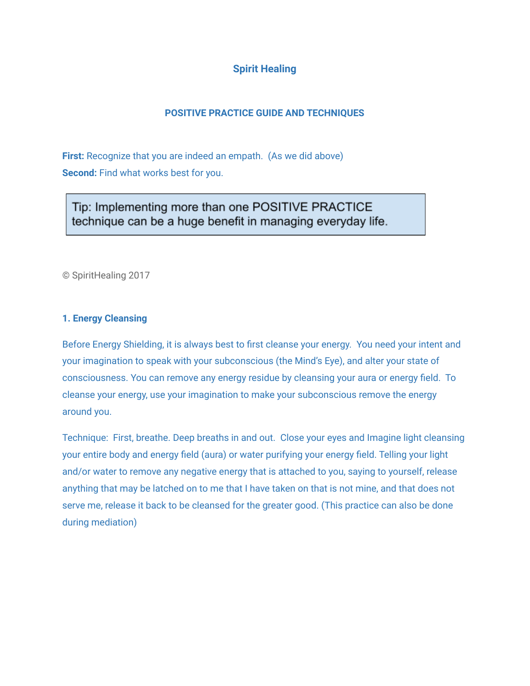## **Spirit Healing**

### **POSITIVE PRACTICE GUIDE AND TECHNIQUES**

**First:** Recognize that you are indeed an empath. (As we did above) **Second:** Find what works best for you.

Tip: Implementing more than one POSITIVE PRACTICE technique can be a huge benefit in managing everyday life.

© SpiritHealing 2017

#### **1. Energy Cleansing**

Before Energy Shielding, it is always best to first cleanse your energy. You need your intent and your imagination to speak with your subconscious (the Mind's Eye), and alter your state of consciousness. You can remove any energy residue by cleansing your aura or energy field. To cleanse your energy, use your imagination to make your subconscious remove the energy around you.

Technique: First, breathe. Deep breaths in and out. Close your eyes and Imagine light cleansing your entire body and energy field (aura) or water purifying your energy field. Telling your light and/or water to remove any negative energy that is attached to you, saying to yourself, release anything that may be latched on to me that I have taken on that is not mine, and that does not serve me, release it back to be cleansed for the greater good. (This practice can also be done during mediation)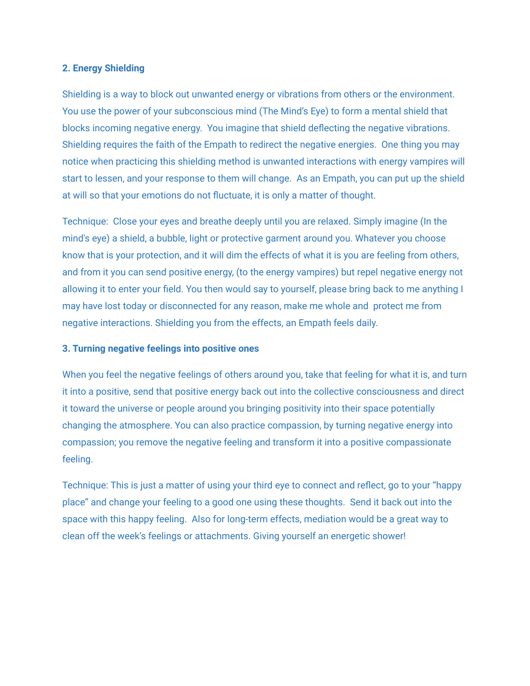#### **2. Energy Shielding**

Shielding is a way to block out unwanted energy or vibrations from others or the environment. You use the power of your subconscious mind (The Mind's Eye) to form a mental shield that blocks incoming negative energy. You imagine that shield deflecting the negative vibrations. Shielding requires the faith of the Empath to redirect the negative energies. One thing you may notice when practicing this shielding method is unwanted interactions with energy vampires will start to lessen, and your response to them will change. As an Empath, you can put up the shield at will so that your emotions do not fluctuate, it is only a matter of thought.

Technique: Close your eyes and breathe deeply until you are relaxed. Simply imagine (In the mind's eye) a shield, a bubble, light or protective garment around you. Whatever you choose know that is your protection, and it will dim the effects of what it is you are feeling from others, and from it you can send positive energy, (to the energy vampires) but repel negative energy not allowing it to enter your field. You then would say to yourself, please bring back to me anything I may have lost today or disconnected for any reason, make me whole and protect me from negative interactions. Shielding you from the effects, an Empath feels daily.

#### **3. Turning negative feelings into positive ones**

When you feel the negative feelings of others around you, take that feeling for what it is, and turn it into a positive, send that positive energy back out into the collective consciousness and direct it toward the universe or people around you bringing positivity into their space potentially changing the atmosphere. You can also practice compassion, by turning negative energy into compassion; you remove the negative feeling and transform it into a positive compassionate feeling.

Technique: This is just a matter of using your third eye to connect and reflect, go to your "happy place" and change your feeling to a good one using these thoughts. Send it back out into the space with this happy feeling. Also for long-term effects, mediation would be a great way to clean off the week's feelings or attachments. Giving yourself an energetic shower!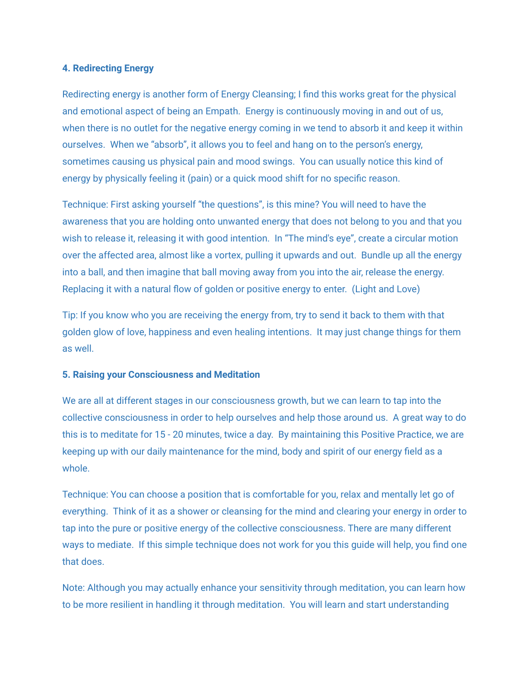#### **4. Redirecting Energy**

Redirecting energy is another form of Energy Cleansing; I find this works great for the physical and emotional aspect of being an Empath. Energy is continuously moving in and out of us, when there is no outlet for the negative energy coming in we tend to absorb it and keep it within ourselves. When we "absorb", it allows you to feel and hang on to the person's energy, sometimes causing us physical pain and mood swings. You can usually notice this kind of energy by physically feeling it (pain) or a quick mood shift for no specific reason.

Technique: First asking yourself "the questions", is this mine? You will need to have the awareness that you are holding onto unwanted energy that does not belong to you and that you wish to release it, releasing it with good intention. In "The mind's eye", create a circular motion over the affected area, almost like a vortex, pulling it upwards and out. Bundle up all the energy into a ball, and then imagine that ball moving away from you into the air, release the energy. Replacing it with a natural flow of golden or positive energy to enter. (Light and Love)

Tip: If you know who you are receiving the energy from, try to send it back to them with that golden glow of love, happiness and even healing intentions. It may just change things for them as well.

#### **5. Raising your Consciousness and Meditation**

We are all at different stages in our consciousness growth, but we can learn to tap into the collective consciousness in order to help ourselves and help those around us. A great way to do this is to meditate for 15 - 20 minutes, twice a day. By maintaining this Positive Practice, we are keeping up with our daily maintenance for the mind, body and spirit of our energy field as a whole.

Technique: You can choose a position that is comfortable for you, relax and mentally let go of everything. Think of it as a shower or cleansing for the mind and clearing your energy in order to tap into the pure or positive energy of the collective consciousness. There are many different ways to mediate. If this simple technique does not work for you this guide will help, you find one that does.

Note: Although you may actually enhance your sensitivity through meditation, you can learn how to be more resilient in handling it through meditation. You will learn and start understanding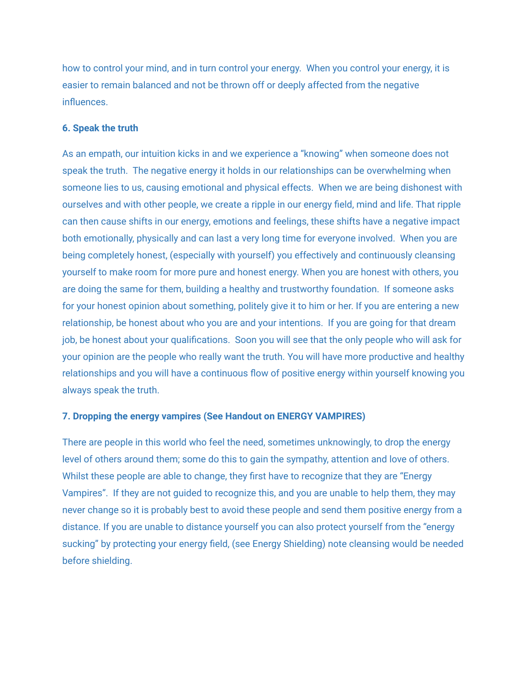how to control your mind, and in turn control your energy. When you control your energy, it is easier to remain balanced and not be thrown off or deeply affected from the negative influences.

#### **6. Speak the truth**

As an empath, our intuition kicks in and we experience a "knowing" when someone does not speak the truth. The negative energy it holds in our relationships can be overwhelming when someone lies to us, causing emotional and physical effects. When we are being dishonest with ourselves and with other people, we create a ripple in our energy field, mind and life. That ripple can then cause shifts in our energy, emotions and feelings, these shifts have a negative impact both emotionally, physically and can last a very long time for everyone involved. When you are being completely honest, (especially with yourself) you effectively and continuously cleansing yourself to make room for more pure and honest energy. When you are honest with others, you are doing the same for them, building a healthy and trustworthy foundation. If someone asks for your honest opinion about something, politely give it to him or her. If you are entering a new relationship, be honest about who you are and your intentions. If you are going for that dream job, be honest about your qualifications. Soon you will see that the only people who will ask for your opinion are the people who really want the truth. You will have more productive and healthy relationships and you will have a continuous flow of positive energy within yourself knowing you always speak the truth.

#### **7. Dropping the energy vampires (See Handout on ENERGY VAMPIRES)**

There are people in this world who feel the need, sometimes unknowingly, to drop the energy level of others around them; some do this to gain the sympathy, attention and love of others. Whilst these people are able to change, they first have to recognize that they are "Energy Vampires". If they are not guided to recognize this, and you are unable to help them, they may never change so it is probably best to avoid these people and send them positive energy from a distance. If you are unable to distance yourself you can also protect yourself from the "energy sucking" by protecting your energy field, (see Energy Shielding) note cleansing would be needed before shielding.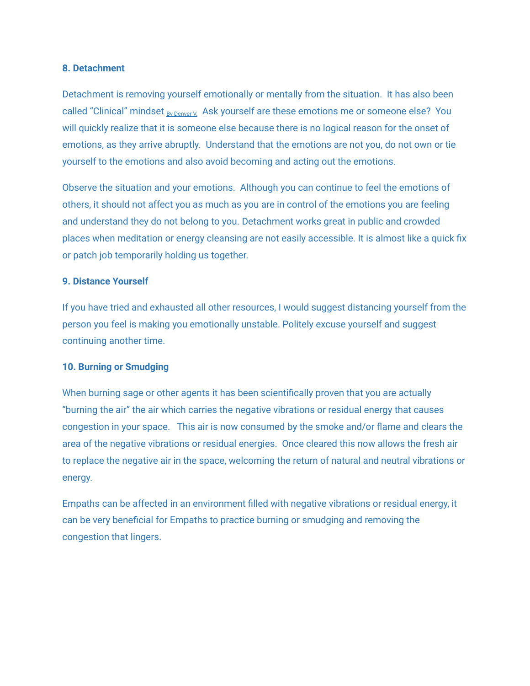#### **8. Detachment**

Detachment is removing yourself emotionally or mentally from the situation. It has also been called "Clinical" mindset By [Denver](http://www.2empowerthyself.com/author/2empowerthyself/) V. Ask yourself are these emotions me or someone else? You will quickly realize that it is someone else because there is no logical reason for the onset of emotions, as they arrive abruptly. Understand that the emotions are not you, do not own or tie yourself to the emotions and also avoid becoming and acting out the emotions.

Observe the situation and your emotions. Although you can continue to feel the emotions of others, it should not affect you as much as you are in control of the emotions you are feeling and understand they do not belong to you. Detachment works great in public and crowded places when meditation or energy cleansing are not easily accessible. It is almost like a quick fix or patch job temporarily holding us together.

#### **9. Distance Yourself**

If you have tried and exhausted all other resources, I would suggest distancing yourself from the person you feel is making you emotionally unstable. Politely excuse yourself and suggest continuing another time.

#### **10. Burning or Smudging**

When burning sage or other agents it has been scientifically proven that you are actually "burning the air" the air which carries the negative vibrations or residual energy that causes congestion in your space. This air is now consumed by the smoke and/or flame and clears the area of the negative vibrations or residual energies. Once cleared this now allows the fresh air to replace the negative air in the space, welcoming the return of natural and neutral vibrations or energy.

Empaths can be affected in an environment filled with negative vibrations or residual energy, it can be very beneficial for Empaths to practice burning or smudging and removing the congestion that lingers.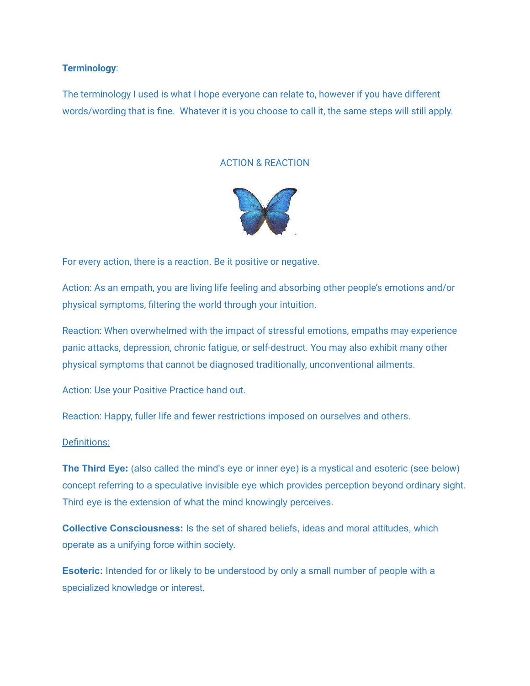#### **Terminology**:

The terminology I used is what I hope everyone can relate to, however if you have different words/wording that is fine. Whatever it is you choose to call it, the same steps will still apply.

#### ACTION & REACTION



For every action, there is a reaction. Be it positive or negative.

Action: As an empath, you are living life feeling and absorbing other people's emotions and/or physical symptoms, filtering the world through your intuition.

Reaction: When overwhelmed with the impact of stressful emotions, empaths may experience panic attacks, depression, chronic fatigue, or self-destruct. You may also exhibit many other physical symptoms that cannot be diagnosed traditionally, unconventional ailments.

Action: Use your Positive Practice hand out.

Reaction: Happy, fuller life and fewer restrictions imposed on ourselves and others.

#### Definitions:

**The Third Eye:** (also called the mind's eye or inner eye) is a mystical and esoteric (see below) concept referring to a speculative invisible eye which provides perception beyond ordinary sight. Third eye is the extension of what the mind knowingly perceives.

**Collective Consciousness:** Is the set of shared beliefs, ideas and moral attitudes, which operate as a unifying force within society.

**Esoteric:** Intended for or likely to be understood by only a small number of people with a specialized knowledge or interest.